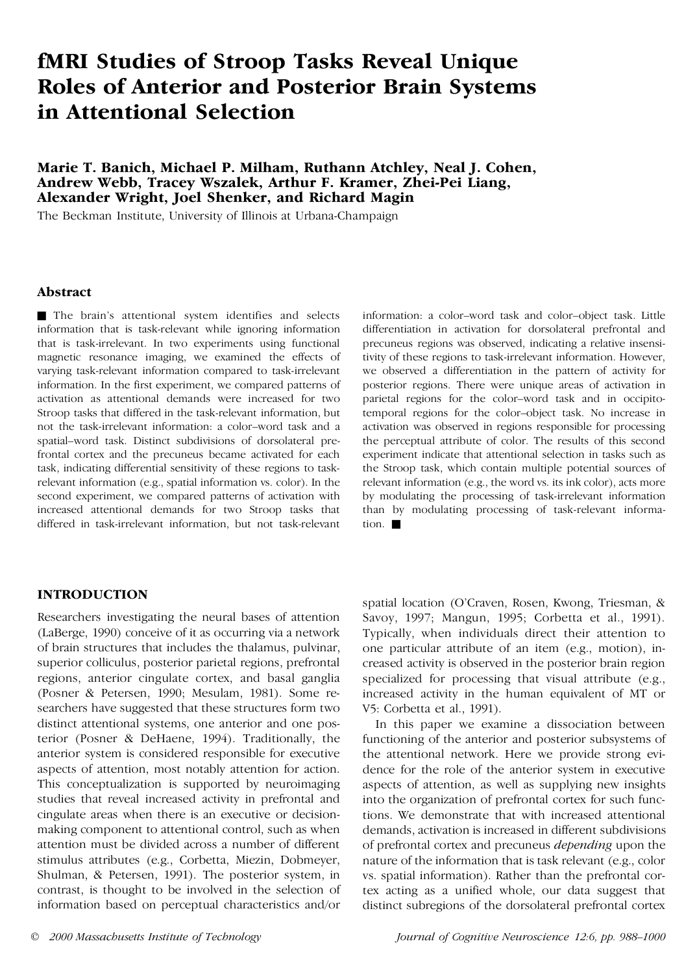# **fMRI Studies of Stroop Tasks Reveal Unique Roles of Anterior and Posterior Brain Systems in Attentional Selection**

# **Marie T. Banich, Michael P. Milham, Ruthann Atchley, Neal J. Cohen, Andrew Webb, Tracey Wszalek, Arthur F. Kramer, Zhei-Pei Liang, Alexander Wright, Joel Shenker, and Richard Magin**

The Beckman Institute, University of Illinois at Urbana-Champaign

#### **Abstract**

■ The brain's attentional system identifies and selects information that is task-relevant while ignoring information that is task-irrelevant. In two experiments using functional magnetic resonance imaging, we examined the effects of varying task-relevant information compared to task-irrelevant information. In the first experiment, we compared patterns of activation as attentional demands were increased for two Stroop tasks that differed in the task-relevant information, but not the task-irrelevant information: a color–word task and a spatial–word task. Distinct subdivisions of dorsolateral prefrontal cortex and the precuneus became activated for each task, indicating differential sensitivity of these regions to taskrelevant information (e.g., spatial information vs. color). In the second experiment, we compared patterns of activation with increased attentional demands for two Stroop tasks that differed in task-irrelevant information, but not task-relevant

## information: a color–word task and color–object task. Little differentiation in activation for dorsolateral prefrontal and precuneus regions was observed, indicating a relative insensitivity of these regions to task-irrelevant information. However, we observed a differentiation in the pattern of activity for posterior regions. There were unique areas of activation in parietal regions for the color–word task and in occipitotemporal regions for the color–object task. No increase in activation was observed in regions responsible for processing the perceptual attribute of color. The results of this second experiment indicate that attentional selection in tasks such as the Stroop task, which contain multiple potential sources of relevant information (e.g., the word vs. its ink color), acts more by modulating the processing of task-irrelevant information than by modulating processing of task-relevant information.  $\blacksquare$

# **INTRODUCTION**

Researchers investigating the neural bases of attention (LaBerge, 1990) conceive of it as occurring via a network of brain structures that includes the thalamus, pulvinar, superior colliculus, posterior parietal regions, prefrontal regions, anterior cingulate cortex, and basal ganglia (Posner & Petersen, 1990; Mesulam, 1981). Some researchers have suggested that these structures form two distinct attentional systems, one anterior and one posterior (Posner & DeHaene, 1994). Traditionally, the anterior system is considered responsible for executive aspects of attention, most notably attention for action. This conceptualization is supported by neuroimaging studies that reveal increased activity in prefrontal and cingulate areas when there is an executive or decisionmaking component to attentional control, such as when attention must be divided across a number of different stimulus attributes (e.g., Corbetta, Miezin, Dobmeyer, Shulman, & Petersen, 1991). The posterior system, in contrast, is thought to be involved in the selection of information based on perceptual characteristics and/or

spatial location (O'Craven, Rosen, Kwong, Triesman, & Savoy, 1997; Mangun, 1995; Corbetta et al., 1991). Typically, when individuals direct their attention to one particular attribute of an item (e.g., motion), increased activity is observed in the posterior brain region specialized for processing that visual attribute (e.g., increased activity in the human equivalent of MT or V5: Corbetta et al., 1991).

In this paper we examine a dissociation between functioning of the anterior and posterior subsystems of the attentional network. Here we provide strong evidence for the role of the anterior system in executive aspects of attention, as well as supplying new insights into the organization of prefrontal cortex for such functions. We demonstrate that with increased attentional demands, activation is increased in different subdivisions of prefrontal cortex and precuneus *depending* upon the nature of the information that is task relevant (e.g., color vs. spatial information). Rather than the prefrontal cortex acting as a unified whole, our data suggest that distinct subregions of the dorsolateral prefrontal cortex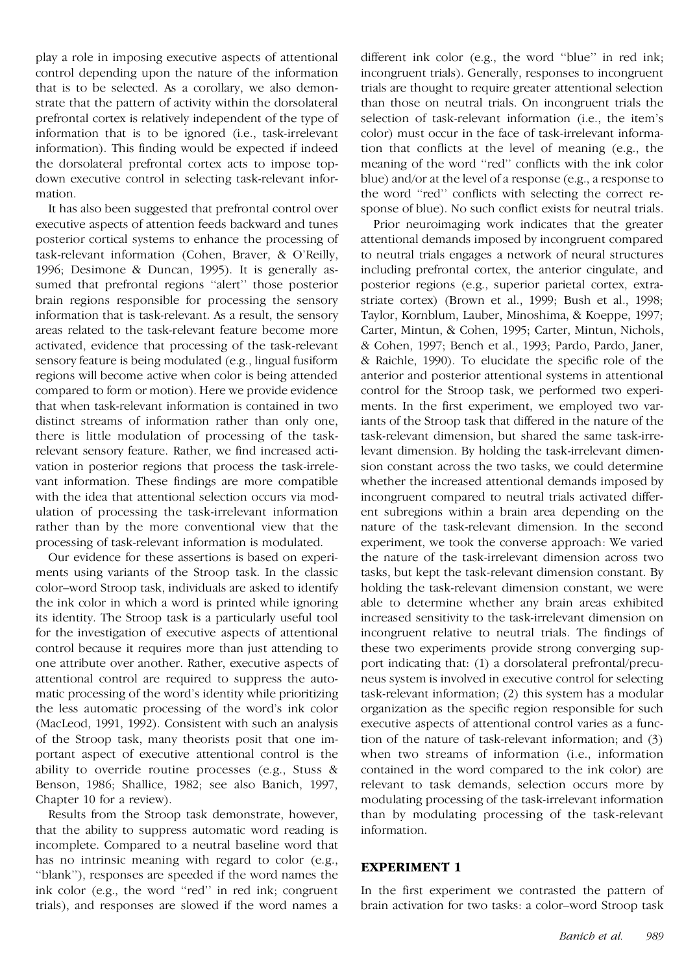play a role in imposing executive aspects of attentional control depending upon the nature of the information that is to be selected. As a corollary, we also demonstrate that the pattern of activity within the dorsolateral prefrontal cortex is relatively independent of the type of information that is to be ignored (i.e., task-irrelevant information). This finding would be expected if indeed the dorsolateral prefrontal cortex acts to impose topdown executive control in selecting task-relevant information.

It has also been suggested that prefrontal control over executive aspects of attention feeds backward and tunes posterior cortical systems to enhance the processing of task-relevant information (Cohen, Braver, & O'Reilly, 1996; Desimone & Duncan, 1995). It is generally assumed that prefrontal regions ''alert'' those posterior brain regions responsible for processing the sensory information that is task-relevant. As a result, the sensory areas related to the task-relevant feature become more activated, evidence that processing of the task-relevant sensory feature is being modulated (e.g., lingual fusiform regions will become active when color is being attended compared to form or motion). Here we provide evidence that when task-relevant information is contained in two distinct streams of information rather than only one, there is little modulation of processing of the taskrelevant sensory feature. Rather, we find increased activation in posterior regions that process the task-irrelevant information. These findings are more compatible with the idea that attentional selection occurs via modulation of processing the task-irrelevant information rather than by the more conventional view that the processing of task-relevant information is modulated.

Our evidence for these assertions is based on experiments using variants of the Stroop task. In the classic color–word Stroop task, individuals are asked to identify the ink color in which a word is printed while ignoring its identity. The Stroop task is a particularly useful tool for the investigation of executive aspects of attentional control because it requires more than just attending to one attribute over another. Rather, executive aspects of attentional control are required to suppress the automatic processing of the word's identity while prioritizing the less automatic processing of the word's ink color (MacLeod, 1991, 1992). Consistent with such an analysis of the Stroop task, many theorists posit that one important aspect of executive attentional control is the ability to override routine processes (e.g., Stuss & Benson, 1986; Shallice, 1982; see also Banich, 1997, Chapter 10 for a review).

Results from the Stroop task demonstrate, however, that the ability to suppress automatic word reading is incomplete. Compared to a neutral baseline word that has no intrinsic meaning with regard to color (e.g., "blank"), responses are speeded if the word names the ink color (e.g., the word ''red'' in red ink; congruent trials), and responses are slowed if the word names a

different ink color (e.g., the word ''blue'' in red ink; incongruent trials). Generally, responses to incongruent trials are thought to require greater attentional selection than those on neutral trials. On incongruent trials the selection of task-relevant information (i.e., the item's color) must occur in the face of task-irrelevant information that conflicts at the level of meaning (e.g., the meaning of the word ''red'' conflicts with the ink color blue) and/or at the level of a response (e.g., a response to the word ''red'' conflicts with selecting the correct response of blue). No such conflict exists for neutral trials.

Prior neuroimaging work indicates that the greater attentional demands imposed by incongruent compared to neutral trials engages a network of neural structures including prefrontal cortex, the anterior cingulate, and posterior regions (e.g., superior parietal cortex, extrastriate cortex) (Brown et al., 1999; Bush et al., 1998; Taylor, Kornblum, Lauber, Minoshima, & Koeppe, 1997; Carter, Mintun, & Cohen, 1995; Carter, Mintun, Nichols, & Cohen, 1997; Bench et al., 1993; Pardo, Pardo, Janer, & Raichle, 1990). To elucidate the specific role of the anterior and posterior attentional systems in attentional control for the Stroop task, we performed two experiments. In the first experiment, we employed two variants of the Stroop task that differed in the nature of the task-relevant dimension, but shared the same task-irrelevant dimension. By holding the task-irrelevant dimension constant across the two tasks, we could determine whether the increased attentional demands imposed by incongruent compared to neutral trials activated different subregions within a brain area depending on the nature of the task-relevant dimension. In the second experiment, we took the converse approach: We varied the nature of the task-irrelevant dimension across two tasks, but kept the task-relevant dimension constant. By holding the task-relevant dimension constant, we were able to determine whether any brain areas exhibited increased sensitivity to the task-irrelevant dimension on incongruent relative to neutral trials. The findings of these two experiments provide strong converging support indicating that: (1) a dorsolateral prefrontal/precuneus system is involved in executive control for selecting task-relevant information; (2) this system has a modular organization as the specific region responsible for such executive aspects of attentional control varies as a function of the nature of task-relevant information; and (3) when two streams of information (i.e., information contained in the word compared to the ink color) are relevant to task demands, selection occurs more by modulating processing of the task-irrelevant information than by modulating processing of the task-relevant information.

#### **EXPERIMENT 1**

In the first experiment we contrasted the pattern of brain activation for two tasks: a color–word Stroop task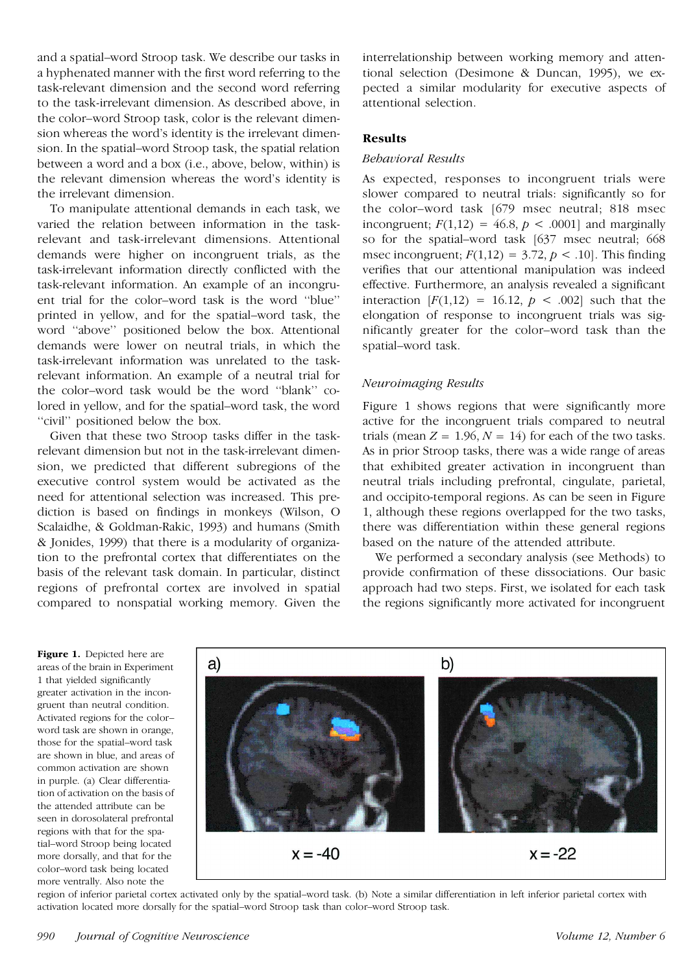and a spatial–word Stroop task. We describe our tasks in a hyphenated manner with the first word referring to the task-relevant dimension and the second word referring to the task-irrelevant dimension. As described above, in the color–word Stroop task, color is the relevant dimension whereas the word's identity is the irrelevant dimension. In the spatial–word Stroop task, the spatial relation between a word and a box (i.e., above, below, within) is the relevant dimension whereas the word's identity is the irrelevant dimension.

To manipulate attentional demands in each task, we varied the relation between information in the taskrelevant and task-irrelevant dimensions. Attentional demands were higher on incongruent trials, as the task-irrelevant information directly conflicted with the task-relevant information. An example of an incongruent trial for the color–word task is the word ''blue'' printed in yellow, and for the spatial–word task, the word ''above'' positioned below the box. Attentional demands were lower on neutral trials, in which the task-irrelevant information was unrelated to the taskrelevant information. An example of a neutral trial for the color–word task would be the word ''blank'' colored in yellow, and for the spatial–word task, the word ''civil'' positioned below the box.

Given that these two Stroop tasks differ in the taskrelevant dimension but not in the task-irrelevant dimension, we predicted that different subregions of the executive control system would be activated as the need for attentional selection was increased. This prediction is based on findings in monkeys (Wilson, O Scalaidhe, & Goldman-Rakic, 1993) and humans (Smith & Jonides, 1999) that there is a modularity of organization to the prefrontal cortex that differentiates on the basis of the relevant task domain. In particular, distinct regions of prefrontal cortex are involved in spatial compared to nonspatial working memory. Given the

interrelationship between working memory and attentional selection (Desimone & Duncan, 1995), we expected a similar modularity for executive aspects of attentional selection.

## **Results**

#### *Behavioral Results*

As expected, responses to incongruent trials were slower compared to neutral trials: significantly so for the color–word task [679 msec neutral; 818 msec incongruent;  $F(1,12) = 46.8$ ,  $p < .0001$  and marginally so for the spatial–word task [637 msec neutral; 668 msec incongruent;  $F(1,12) = 3.72$ ,  $p < .10$ . This finding verifies that our attentional manipulation was indeed effective. Furthermore, an analysis revealed a significant interaction  $[F(1,12) = 16.12, p < .002]$  such that the elongation of response to incongruent trials was significantly greater for the color–word task than the spatial–word task.

## *Neuroimaging Results*

Figure 1 shows regions that were significantly more active for the incongruent trials compared to neutral trials (mean  $Z = 1.96$ ,  $N = 14$ ) for each of the two tasks. As in prior Stroop tasks, there was a wide range of areas that exhibited greater activation in incongruent than neutral trials including prefrontal, cingulate, parietal, and occipito-temporal regions. As can be seen in Figure 1, although these regions overlapped for the two tasks, there was differentiation within these general regions based on the nature of the attended attribute.

We performed a secondary analysis (see Methods) to provide confirmation of these dissociations. Our basic approach had two steps. First, we isolated for each task the regions significantly more activated for incongruent

**Figure 1.** Depicted here are areas of the brain in Experiment 1 that yielded significantly greater activation in the incongruent than neutral condition. Activated regions for the color– word task are shown in orange, those for the spatial–word task are shown in blue, and areas of common activation are shown in purple. (a) Clear differentiation of activation on the basis of the attended attribute can be seen in dorosolateral prefrontal regions with that for the spatial–word Stroop being located more dorsally, and that for the color–word task being located more ventrally. Also note the



region of inferior parietal cortex activated only by the spatial–word task. (b) Note a similar differentiation in left inferior parietal cortex with activation located more dorsally for the spatial–word Stroop task than color–word Stroop task.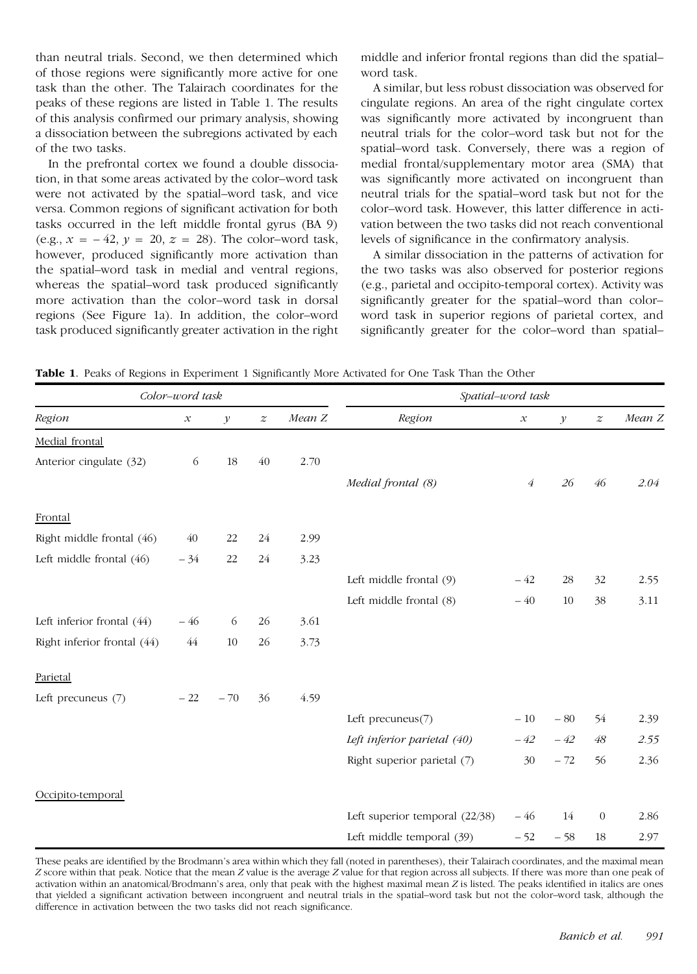than neutral trials. Second, we then determined which of those regions were significantly more active for one task than the other. The Talairach coordinates for the peaks of these regions are listed in Table 1. The results of this analysis confirmed our primary analysis, showing a dissociation between the subregions activated by each of the two tasks.

In the prefrontal cortex we found a double dissociation, in that some areas activated by the color–word task were not activated by the spatial–word task, and vice versa. Common regions of significant activation for both tasks occurred in the left middle frontal gyrus (BA 9) (e.g.,  $x = -42$ ,  $y = 20$ ,  $z = 28$ ). The color–word task, however, produced significantly more activation than the spatial–word task in medial and ventral regions, whereas the spatial–word task produced significantly more activation than the color–word task in dorsal regions (See Figure 1a). In addition, the color–word task produced significantly greater activation in the right middle and inferior frontal regions than did the spatial– word task.

A similar, but less robust dissociation was observed for cingulate regions. An area of the right cingulate cortex was significantly more activated by incongruent than neutral trials for the color–word task but not for the spatial–word task. Conversely, there was a region of medial frontal/supplementary motor area (SMA) that was significantly more activated on incongruent than neutral trials for the spatial–word task but not for the color–word task. However, this latter difference in activation between the two tasks did not reach conventional levels of significance in the confirmatory analysis.

A similar dissociation in the patterns of activation for the two tasks was also observed for posterior regions (e.g., parietal and occipito-temporal cortex). Activity was significantly greater for the spatial–word than color– word task in superior regions of parietal cortex, and significantly greater for the color–word than spatial–

**Table 1**. Peaks of Regions in Experiment 1 Significantly More Activated for One Task Than the Other

| Color-word task              |                            |              |                  |        | Spatial-word task              |                            |               |                  |        |
|------------------------------|----------------------------|--------------|------------------|--------|--------------------------------|----------------------------|---------------|------------------|--------|
| Region                       | $\boldsymbol{\mathcal{X}}$ | $\mathcal Y$ | $\boldsymbol{z}$ | Mean Z | Region                         | $\boldsymbol{\mathcal{X}}$ | $\mathcal{Y}$ | $\boldsymbol{z}$ | Mean Z |
| Medial frontal               |                            |              |                  |        |                                |                            |               |                  |        |
| Anterior cingulate (32)      | 6                          | 18           | 40               | 2.70   |                                |                            |               |                  |        |
|                              |                            |              |                  |        | Medial frontal (8)             | $\acute{4}$                | 26            | 46               | 2.04   |
| Frontal                      |                            |              |                  |        |                                |                            |               |                  |        |
| Right middle frontal (46)    | 40                         | 22           | 24               | 2.99   |                                |                            |               |                  |        |
| Left middle frontal (46)     | $-34$                      | 22           | 24               | 3.23   |                                |                            |               |                  |        |
|                              |                            |              |                  |        | Left middle frontal (9)        | $-42$                      | 28            | 32               | 2.55   |
|                              |                            |              |                  |        | Left middle frontal (8)        | $-40$                      | 10            | 38               | 3.11   |
| Left inferior frontal $(44)$ | $-46$                      | 6            | 26               | 3.61   |                                |                            |               |                  |        |
| Right inferior frontal (44)  | 44                         | 10           | 26               | 3.73   |                                |                            |               |                  |        |
| Parietal                     |                            |              |                  |        |                                |                            |               |                  |        |
| Left precuneus (7)           | $-22$                      | $-70$        | 36               | 4.59   |                                |                            |               |                  |        |
|                              |                            |              |                  |        | Left precuneus $(7)$           | $-10$                      | $-80$         | 54               | 2.39   |
|                              |                            |              |                  |        | Left inferior parietal (40)    | $-42$                      | $-42$         | 48               | 2.55   |
|                              |                            |              |                  |        | Right superior parietal (7)    | 30                         | $-72$         | 56               | 2.36   |
| Occipito-temporal            |                            |              |                  |        |                                |                            |               |                  |        |
|                              |                            |              |                  |        | Left superior temporal (22/38) | $-46$                      | 14            | $\theta$         | 2.86   |
|                              |                            |              |                  |        | Left middle temporal (39)      | $-52$                      | $-58$         | 18               | 2.97   |

These peaks are identified by the Brodmann's area within which they fall (noted in parentheses), their Talairach coordinates, and the maximal mean *Z* score within that peak. Notice that the mean *Z* value is the average *Z* value for that region across all subjects. If there was more than one peak of activation within an anatomical/Brodmann's area, only that peak with the highest maximal mean *Z* is listed. The peaks identified in italics are ones that yielded a significant activation between incongruent and neutral trials in the spatial–word task but not the color–word task, although the difference in activation between the two tasks did not reach significance.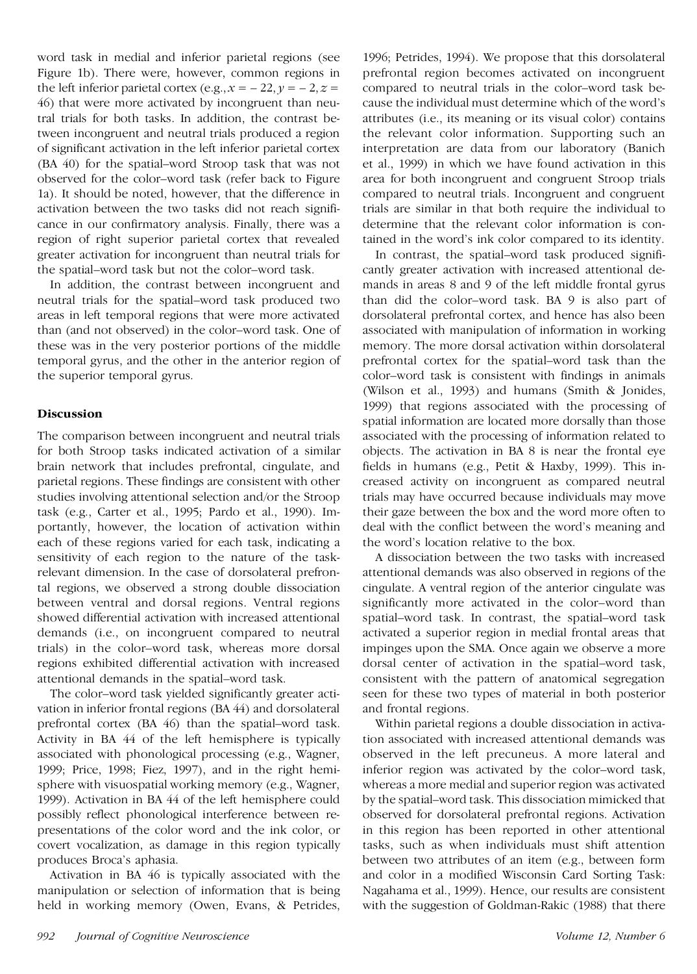word task in medial and inferior parietal regions (see Figure 1b). There were, however, common regions in the left inferior parietal cortex (e.g.,  $x = -22$ ,  $y = -2$ ,  $z =$ 46) that were more activated by incongruent than neutral trials for both tasks. In addition, the contrast between incongruent and neutral trials produced a region of significant activation in the left inferior parietal cortex (BA 40) for the spatial–word Stroop task that was not observed for the color–word task (refer back to Figure 1a). It should be noted, however, that the difference in activation between the two tasks did not reach significance in our confirmatory analysis. Finally, there was a region of right superior parietal cortex that revealed greater activation for incongruent than neutral trials for the spatial–word task but not the color–word task.

In addition, the contrast between incongruent and neutral trials for the spatial–word task produced two areas in left temporal regions that were more activated than (and not observed) in the color–word task. One of these was in the very posterior portions of the middle temporal gyrus, and the other in the anterior region of the superior temporal gyrus.

# **Discussion**

The comparison between incongruent and neutral trials for both Stroop tasks indicated activation of a similar brain network that includes prefrontal, cingulate, and parietal regions. These findings are consistent with other studies involving attentional selection and/or the Stroop task (e.g., Carter et al., 1995; Pardo et al., 1990). Importantly, however, the location of activation within each of these regions varied for each task, indicating a sensitivity of each region to the nature of the taskrelevant dimension. In the case of dorsolateral prefrontal regions, we observed a strong double dissociation between ventral and dorsal regions. Ventral regions showed differential activation with increased attentional demands (i.e., on incongruent compared to neutral trials) in the color–word task, whereas more dorsal regions exhibited differential activation with increased attentional demands in the spatial–word task.

The color–word task yielded significantly greater activation in inferior frontal regions (BA 44) and dorsolateral prefrontal cortex (BA 46) than the spatial–word task. Activity in BA 44 of the left hemisphere is typically associated with phonological processing (e.g., Wagner, 1999; Price, 1998; Fiez, 1997), and in the right hemisphere with visuospatial working memory (e.g., Wagner, 1999). Activation in BA 44 of the left hemisphere could possibly reflect phonological interference between representations of the color word and the ink color, or covert vocalization, as damage in this region typically produces Broca's aphasia.

Activation in BA 46 is typically associated with the manipulation or selection of information that is being held in working memory (Owen, Evans, & Petrides, 1996; Petrides, 1994). We propose that this dorsolateral prefrontal region becomes activated on incongruent compared to neutral trials in the color–word task because the individual must determine which of the word's attributes (i.e., its meaning or its visual color) contains the relevant color information. Supporting such an interpretation are data from our laboratory (Banich et al., 1999) in which we have found activation in this area for both incongruent and congruent Stroop trials compared to neutral trials. Incongruent and congruent trials are similar in that both require the individual to determine that the relevant color information is contained in the word's ink color compared to its identity.

In contrast, the spatial–word task produced significantly greater activation with increased attentional demands in areas 8 and 9 of the left middle frontal gyrus than did the color–word task. BA 9 is also part of dorsolateral prefrontal cortex, and hence has also been associated with manipulation of information in working memory. The more dorsal activation within dorsolateral prefrontal cortex for the spatial–word task than the color–word task is consistent with findings in animals (Wilson et al., 1993) and humans (Smith & Jonides, 1999) that regions associated with the processing of spatial information are located more dorsally than those associated with the processing of information related to objects. The activation in BA 8 is near the frontal eye fields in humans (e.g., Petit & Haxby, 1999). This increased activity on incongruent as compared neutral trials may have occurred because individuals may move their gaze between the box and the word more often to deal with the conflict between the word's meaning and the word's location relative to the box.

A dissociation between the two tasks with increased attentional demands was also observed in regions of the cingulate. A ventral region of the anterior cingulate was significantly more activated in the color–word than spatial–word task. In contrast, the spatial–word task activated a superior region in medial frontal areas that impinges upon the SMA. Once again we observe a more dorsal center of activation in the spatial–word task, consistent with the pattern of anatomical segregation seen for these two types of material in both posterior and frontal regions.

Within parietal regions a double dissociation in activation associated with increased attentional demands was observed in the left precuneus. A more lateral and inferior region was activated by the color–word task, whereas a more medial and superior region was activated by the spatial–word task. This dissociation mimicked that observed for dorsolateral prefrontal regions. Activation in this region has been reported in other attentional tasks, such as when individuals must shift attention between two attributes of an item (e.g., between form and color in a modified Wisconsin Card Sorting Task: Nagahama et al., 1999). Hence, our results are consistent with the suggestion of Goldman-Rakic (1988) that there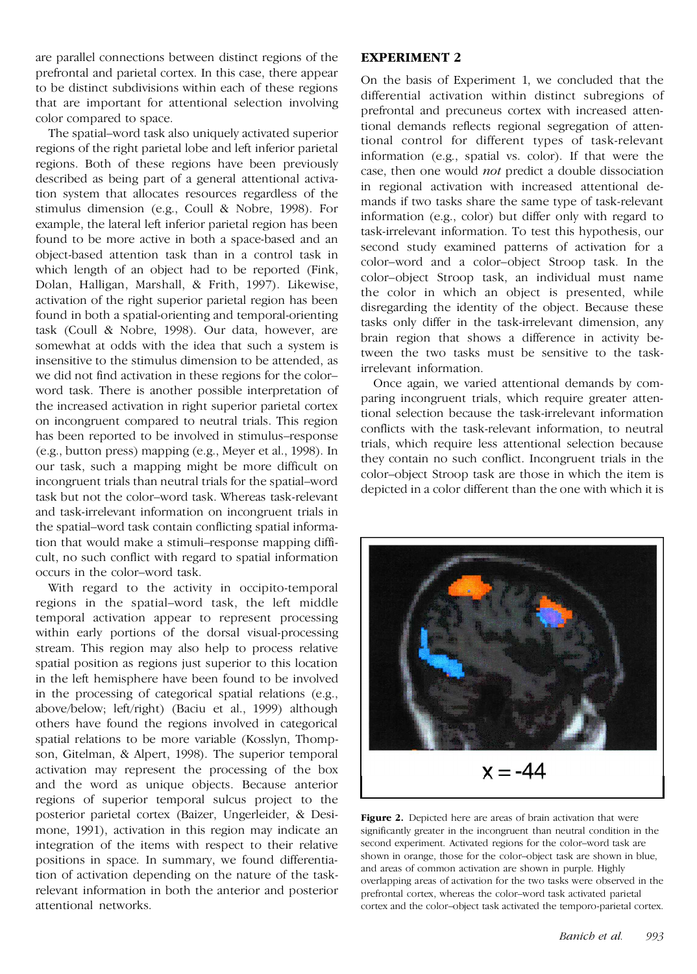are parallel connections between distinct regions of the prefrontal and parietal cortex. In this case, there appear to be distinct subdivisions within each of these regions that are important for attentional selection involving color compared to space.

The spatial–word task also uniquely activated superior regions of the right parietal lobe and left inferior parietal regions. Both of these regions have been previously described as being part of a general attentional activation system that allocates resources regardless of the stimulus dimension (e.g., Coull & Nobre, 1998). For example, the lateral left inferior parietal region has been found to be more active in both a space-based and an object-based attention task than in a control task in which length of an object had to be reported (Fink, Dolan, Halligan, Marshall, & Frith, 1997). Likewise, activation of the right superior parietal region has been found in both a spatial-orienting and temporal-orienting task (Coull & Nobre, 1998). Our data, however, are somewhat at odds with the idea that such a system is insensitive to the stimulus dimension to be attended, as we did not find activation in these regions for the color– word task. There is another possible interpretation of the increased activation in right superior parietal cortex on incongruent compared to neutral trials. This region has been reported to be involved in stimulus–response (e.g., button press) mapping (e.g., Meyer et al., 1998). In our task, such a mapping might be more difficult on incongruent trials than neutral trials for the spatial–word task but not the color–word task. Whereas task-relevant and task-irrelevant information on incongruent trials in the spatial–word task contain conflicting spatial information that would make a stimuli–response mapping difficult, no such conflict with regard to spatial information occurs in the color–word task.

With regard to the activity in occipito-temporal regions in the spatial–word task, the left middle temporal activation appear to represent processing within early portions of the dorsal visual-processing stream. This region may also help to process relative spatial position as regions just superior to this location in the left hemisphere have been found to be involved in the processing of categorical spatial relations (e.g., above/below; left/right) (Baciu et al., 1999) although others have found the regions involved in categorical spatial relations to be more variable (Kosslyn, Thompson, Gitelman, & Alpert, 1998). The superior temporal activation may represent the processing of the box and the word as unique objects. Because anterior regions of superior temporal sulcus project to the posterior parietal cortex (Baizer, Ungerleider, & Desimone, 1991), activation in this region may indicate an integration of the items with respect to their relative positions in space. In summary, we found differentiation of activation depending on the nature of the taskrelevant information in both the anterior and posterior attentional networks.

## **EXPERIMENT 2**

On the basis of Experiment 1, we concluded that the differential activation within distinct subregions of prefrontal and precuneus cortex with increased attentional demands reflects regional segregation of attentional control for different types of task-relevant information (e.g., spatial vs. color). If that were the case, then one would *not* predict a double dissociation in regional activation with increased attentional demands if two tasks share the same type of task-relevant information (e.g., color) but differ only with regard to task-irrelevant information. To test this hypothesis, our second study examined patterns of activation for a color–word and a color–object Stroop task. In the color–object Stroop task, an individual must name the color in which an object is presented, while disregarding the identity of the object. Because these tasks only differ in the task-irrelevant dimension, any brain region that shows a difference in activity between the two tasks must be sensitive to the taskirrelevant information.

Once again, we varied attentional demands by comparing incongruent trials, which require greater attentional selection because the task-irrelevant information conflicts with the task-relevant information, to neutral trials, which require less attentional selection because they contain no such conflict. Incongruent trials in the color–object Stroop task are those in which the item is depicted in a color different than the one with which it is



**Figure 2.** Depicted here are areas of brain activation that were significantly greater in the incongruent than neutral condition in the second experiment. Activated regions for the color–word task are shown in orange, those for the color–object task are shown in blue, and areas of common activation are shown in purple. Highly overlapping areas of activation for the two tasks were observed in the prefrontal cortex, whereas the color–word task activated parietal cortex and the color–object task activated the temporo-parietal cortex.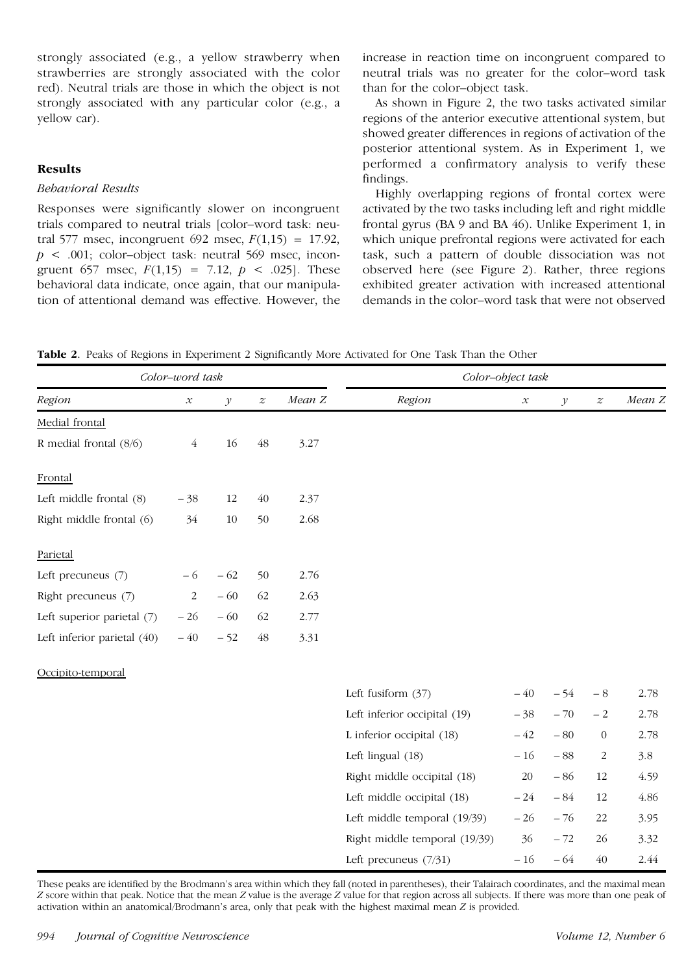strongly associated (e.g., a yellow strawberry when strawberries are strongly associated with the color red). Neutral trials are those in which the object is not strongly associated with any particular color (e.g., a yellow car).

## **Results**

## *Behavioral Results*

Responses were significantly slower on incongruent trials compared to neutral trials [color–word task: neutral 577 msec, incongruent 692 msec,  $F(1,15) = 17.92$ ,  $p \leq 0.001$ ; color-object task: neutral 569 msec, incongruent 657 msec,  $F(1,15) = 7.12$ ,  $p < .025$ . These behavioral data indicate, once again, that our manipulation of attentional demand was effective. However, the increase in reaction time on incongruent compared to neutral trials was no greater for the color–word task than for the color–object task.

As shown in Figure 2, the two tasks activated similar regions of the anterior executive attentional system, but showed greater differences in regions of activation of the posterior attentional system. As in Experiment 1, we performed a confirmatory analysis to verify these findings.

Highly overlapping regions of frontal cortex were activated by the two tasks including left and right middle frontal gyrus (BA 9 and BA 46). Unlike Experiment 1, in which unique prefrontal regions were activated for each task, such a pattern of double dissociation was not observed here (see Figure 2). Rather, three regions exhibited greater activation with increased attentional demands in the color–word task that were not observed

**Table 2**. Peaks of Regions in Experiment 2 Significantly More Activated for One Task Than the Other

| Color-word task             |                            |               |                  |        | Color-object task             |                            |              |                  |        |
|-----------------------------|----------------------------|---------------|------------------|--------|-------------------------------|----------------------------|--------------|------------------|--------|
| Region                      | $\boldsymbol{\mathcal{X}}$ | $\mathcal{Y}$ | $\boldsymbol{z}$ | Mean Z | Region                        | $\boldsymbol{\mathcal{X}}$ | $\mathcal V$ | $\boldsymbol{z}$ | Mean Z |
| Medial frontal              |                            |               |                  |        |                               |                            |              |                  |        |
| R medial frontal (8/6)      | $\overline{4}$             | 16            | $\sqrt{48}$      | 3.27   |                               |                            |              |                  |        |
| Frontal                     |                            |               |                  |        |                               |                            |              |                  |        |
| Left middle frontal (8)     | $-38$                      | 12            | 40               | 2.37   |                               |                            |              |                  |        |
| Right middle frontal (6)    | 34                         | 10            | 50               | 2.68   |                               |                            |              |                  |        |
| Parietal                    |                            |               |                  |        |                               |                            |              |                  |        |
| Left precuneus (7)          | $-6$                       | $-62$         | 50               | 2.76   |                               |                            |              |                  |        |
| Right precuneus (7)         | $\sqrt{2}$                 | $-60$         | 62               | 2.63   |                               |                            |              |                  |        |
| Left superior parietal (7)  | $-26$                      | $-60$         | 62               | 2.77   |                               |                            |              |                  |        |
| Left inferior parietal (40) | $-40$                      | $-52$         | 48               | 3.31   |                               |                            |              |                  |        |
| Occipito-temporal           |                            |               |                  |        |                               |                            |              |                  |        |
|                             |                            |               |                  |        | Left fusiform $(37)$          | $-40$                      | $-54$        | $-8$             | 2.78   |
|                             |                            |               |                  |        | Left inferior occipital (19)  | $-38$                      | $-70$        | $-2$             | 2.78   |
|                             |                            |               |                  |        | L inferior occipital (18)     | $-42$                      | $-80$        | $\boldsymbol{0}$ | 2.78   |
|                             |                            |               |                  |        | Left lingual (18)             | $-16$                      | $-88$        | 2                | 3.8    |
|                             |                            |               |                  |        | Right middle occipital (18)   | 20                         | $-86$        | 12               | 4.59   |
|                             |                            |               |                  |        | Left middle occipital (18)    | $-24$                      | $-84$        | 12               | 4.86   |
|                             |                            |               |                  |        | Left middle temporal (19/39)  | $-26$                      | $-76$        | 22               | 3.95   |
|                             |                            |               |                  |        | Right middle temporal (19/39) | 36                         | $-72$        | 26               | 3.32   |

These peaks are identified by the Brodmann's area within which they fall (noted in parentheses), their Talairach coordinates, and the maximal mean *Z* score within that peak. Notice that the mean *Z* value is the average *Z* value for that region across all subjects. If there was more than one peak of activation within an anatomical/Brodmann's area, only that peak with the highest maximal mean *Z* is provided.

Left precuneus  $(7/31)$   $-16$   $-64$   $40$   $2.44$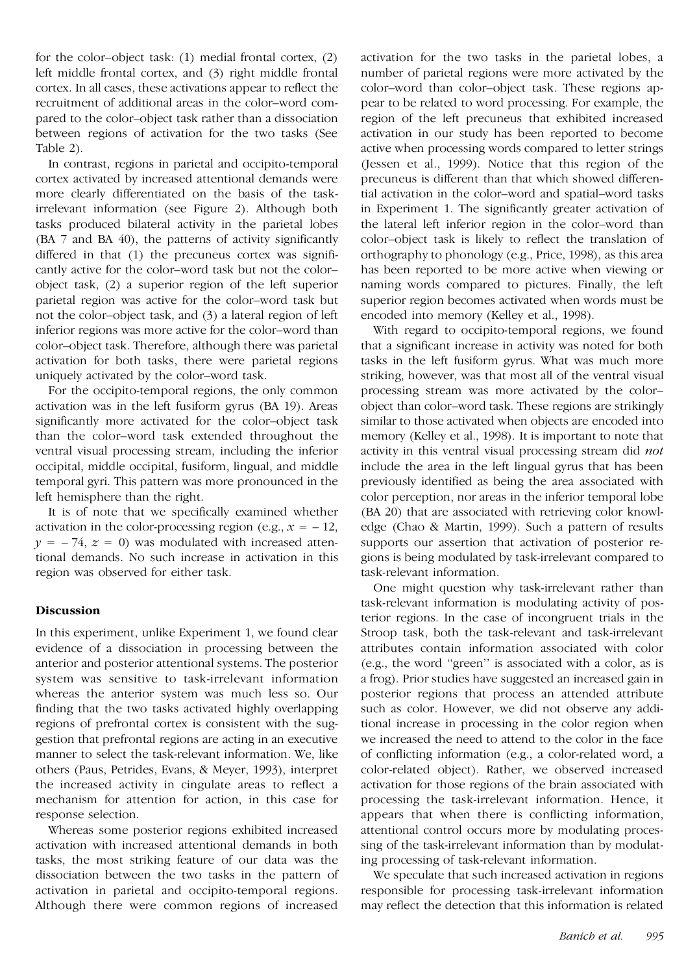for the color–object task: (1) medial frontal cortex, (2) left middle frontal cortex, and (3) right middle frontal cortex. In all cases, these activations appear to reflect the recruitment of additional areas in the color–word compared to the color–object task rather than a dissociation between regions of activation for the two tasks (See Table 2).

In contrast, regions in parietal and occipito-temporal cortex activated by increased attentional demands were more clearly differentiated on the basis of the taskirrelevant information (see Figure 2). Although both tasks produced bilateral activity in the parietal lobes (BA 7 and BA 40), the patterns of activity significantly differed in that (1) the precuneus cortex was significantly active for the color–word task but not the color– object task, (2) a superior region of the left superior parietal region was active for the color–word task but not the color–object task, and (3) a lateral region of left inferior regions was more active for the color–word than color–object task. Therefore, although there was parietal activation for both tasks, there were parietal regions uniquely activated by the color–word task.

For the occipito-temporal regions, the only common activation was in the left fusiform gyrus (BA 19). Areas significantly more activated for the color–object task than the color–word task extended throughout the ventral visual processing stream, including the inferior occipital, middle occipital, fusiform, lingual, and middle temporal gyri. This pattern was more pronounced in the left hemisphere than the right.

It is of note that we specifically examined whether activation in the color-processing region (e.g.,  $x = -12$ ,  $y = -74$ ,  $z = 0$ ) was modulated with increased attentional demands. No such increase in activation in this region was observed for either task.

#### **Discussion**

In this experiment, unlike Experiment 1, we found clear evidence of a dissociation in processing between the anterior and posterior attentional systems. The posterior system was sensitive to task-irrelevant information whereas the anterior system was much less so. Our finding that the two tasks activated highly overlapping regions of prefrontal cortex is consistent with the suggestion that prefrontal regions are acting in an executive manner to select the task-relevant information. We, like others (Paus, Petrides, Evans, & Meyer, 1993), interpret the increased activity in cingulate areas to reflect a mechanism for attention for action, in this case for response selection.

Whereas some posterior regions exhibited increased activation with increased attentional demands in both tasks, the most striking feature of our data was the dissociation between the two tasks in the pattern of activation in parietal and occipito-temporal regions. Although there were common regions of increased

activation for the two tasks in the parietal lobes, a number of parietal regions were more activated by the color–word than color–object task. These regions appear to be related to word processing. For example, the region of the left precuneus that exhibited increased activation in our study has been reported to become active when processing words compared to letter strings (Jessen et al., 1999). Notice that this region of the precuneus is different than that which showed differential activation in the color–word and spatial–word tasks in Experiment 1. The significantly greater activation of the lateral left inferior region in the color–word than color–object task is likely to reflect the translation of orthography to phonology (e.g., Price, 1998), as this area has been reported to be more active when viewing or naming words compared to pictures. Finally, the left superior region becomes activated when words must be encoded into memory (Kelley et al., 1998).

With regard to occipito-temporal regions, we found that a significant increase in activity was noted for both tasks in the left fusiform gyrus. What was much more striking, however, was that most all of the ventral visual processing stream was more activated by the color– object than color–word task. These regions are strikingly similar to those activated when objects are encoded into memory (Kelley et al., 1998). It is important to note that activity in this ventral visual processing stream did *not* include the area in the left lingual gyrus that has been previously identified as being the area associated with color perception, nor areas in the inferior temporal lobe (BA 20) that are associated with retrieving color knowledge (Chao & Martin, 1999). Such a pattern of results supports our assertion that activation of posterior regions is being modulated by task-irrelevant compared to task-relevant information.

One might question why task-irrelevant rather than task-relevant information is modulating activity of posterior regions. In the case of incongruent trials in the Stroop task, both the task-relevant and task-irrelevant attributes contain information associated with color (e.g., the word ''green'' is associated with a color, as is a frog). Prior studies have suggested an increased gain in posterior regions that process an attended attribute such as color. However, we did not observe any additional increase in processing in the color region when we increased the need to attend to the color in the face of conflicting information (e.g., a color-related word, a color-related object). Rather, we observed increased activation for those regions of the brain associated with processing the task-irrelevant information. Hence, it appears that when there is conflicting information, attentional control occurs more by modulating processing of the task-irrelevant information than by modulating processing of task-relevant information.

We speculate that such increased activation in regions responsible for processing task-irrelevant information may reflect the detection that this information is related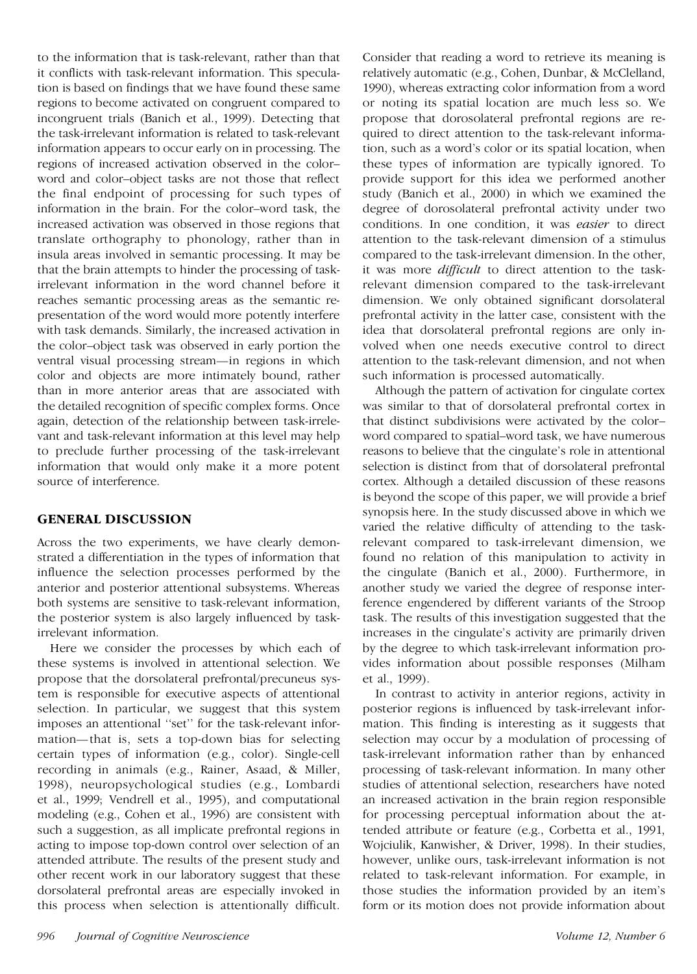to the information that is task-relevant, rather than that it conflicts with task-relevant information. This speculation is based on findings that we have found these same regions to become activated on congruent compared to incongruent trials (Banich et al., 1999). Detecting that the task-irrelevant information is related to task-relevant information appears to occur early on in processing. The regions of increased activation observed in the color– word and color–object tasks are not those that reflect the final endpoint of processing for such types of information in the brain. For the color–word task, the increased activation was observed in those regions that translate orthography to phonology, rather than in insula areas involved in semantic processing. It may be that the brain attempts to hinder the processing of taskirrelevant information in the word channel before it reaches semantic processing areas as the semantic representation of the word would more potently interfere with task demands. Similarly, the increased activation in the color–object task was observed in early portion the ventral visual processing stream—in regions in which color and objects are more intimately bound, rather than in more anterior areas that are associated with the detailed recognition of specific complex forms. Once again, detection of the relationship between task-irrelevant and task-relevant information at this level may help to preclude further processing of the task-irrelevant information that would only make it a more potent source of interference.

# **GENERAL DISCUSSION**

Across the two experiments, we have clearly demonstrated a differentiation in the types of information that influence the selection processes performed by the anterior and posterior attentional subsystems. Whereas both systems are sensitive to task-relevant information, the posterior system is also largely influenced by taskirrelevant information.

Here we consider the processes by which each of these systems is involved in attentional selection. We propose that the dorsolateral prefrontal/precuneus system is responsible for executive aspects of attentional selection. In particular, we suggest that this system imposes an attentional ''set'' for the task-relevant information—that is, sets a top-down bias for selecting certain types of information (e.g., color). Single-cell recording in animals (e.g., Rainer, Asaad, & Miller, 1998), neuropsychological studies (e.g., Lombardi et al., 1999; Vendrell et al., 1995), and computational modeling (e.g., Cohen et al., 1996) are consistent with such a suggestion, as all implicate prefrontal regions in acting to impose top-down control over selection of an attended attribute. The results of the present study and other recent work in our laboratory suggest that these dorsolateral prefrontal areas are especially invoked in this process when selection is attentionally difficult.

Consider that reading a word to retrieve its meaning is relatively automatic (e.g., Cohen, Dunbar, & McClelland, 1990), whereas extracting color information from a word or noting its spatial location are much less so. We propose that dorosolateral prefrontal regions are required to direct attention to the task-relevant information, such as a word's color or its spatial location, when these types of information are typically ignored. To provide support for this idea we performed another study (Banich et al., 2000) in which we examined the degree of dorosolateral prefrontal activity under two conditions. In one condition, it was *easier* to direct attention to the task-relevant dimension of a stimulus compared to the task-irrelevant dimension. In the other, it was more *difficult* to direct attention to the taskrelevant dimension compared to the task-irrelevant dimension. We only obtained significant dorsolateral prefrontal activity in the latter case, consistent with the idea that dorsolateral prefrontal regions are only involved when one needs executive control to direct attention to the task-relevant dimension, and not when such information is processed automatically.

Although the pattern of activation for cingulate cortex was similar to that of dorsolateral prefrontal cortex in that distinct subdivisions were activated by the color– word compared to spatial–word task, we have numerous reasons to believe that the cingulate's role in attentional selection is distinct from that of dorsolateral prefrontal cortex. Although a detailed discussion of these reasons is beyond the scope of this paper, we will provide a brief synopsis here. In the study discussed above in which we varied the relative difficulty of attending to the taskrelevant compared to task-irrelevant dimension, we found no relation of this manipulation to activity in the cingulate (Banich et al., 2000). Furthermore, in another study we varied the degree of response interference engendered by different variants of the Stroop task. The results of this investigation suggested that the increases in the cingulate's activity are primarily driven by the degree to which task-irrelevant information provides information about possible responses (Milham et al., 1999).

In contrast to activity in anterior regions, activity in posterior regions is influenced by task-irrelevant information. This finding is interesting as it suggests that selection may occur by a modulation of processing of task-irrelevant information rather than by enhanced processing of task-relevant information. In many other studies of attentional selection, researchers have noted an increased activation in the brain region responsible for processing perceptual information about the attended attribute or feature (e.g., Corbetta et al., 1991, Wojciulik, Kanwisher, & Driver, 1998). In their studies, however, unlike ours, task-irrelevant information is not related to task-relevant information. For example, in those studies the information provided by an item's form or its motion does not provide information about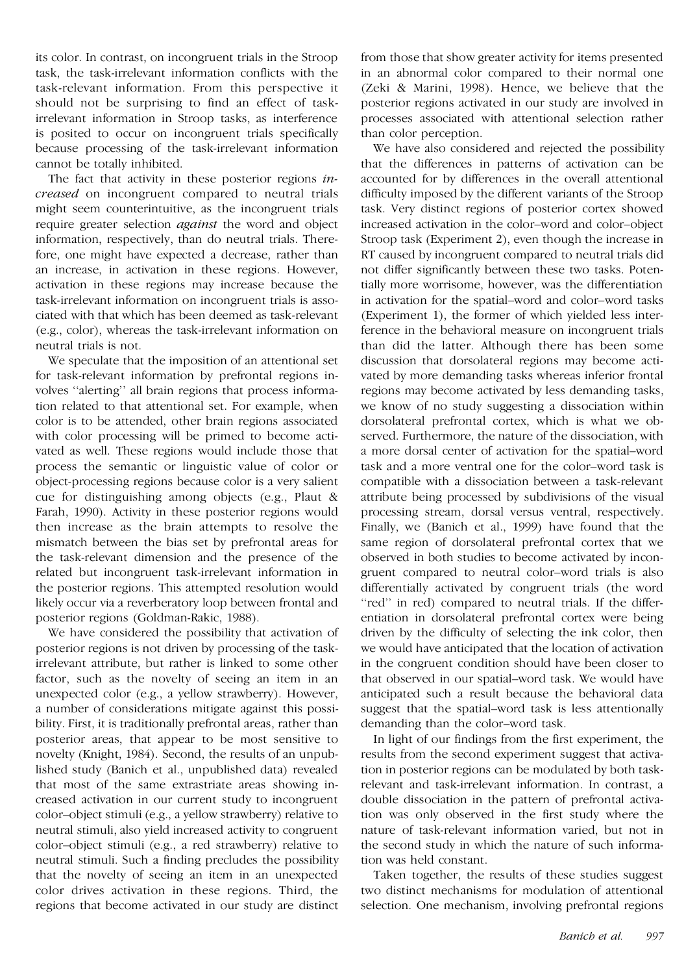its color. In contrast, on incongruent trials in the Stroop task, the task-irrelevant information conflicts with the task-relevant information. From this perspective it should not be surprising to find an effect of taskirrelevant information in Stroop tasks, as interference is posited to occur on incongruent trials specifically because processing of the task-irrelevant information cannot be totally inhibited.

The fact that activity in these posterior regions *increased* on incongruent compared to neutral trials might seem counterintuitive, as the incongruent trials require greater selection *against* the word and object information, respectively, than do neutral trials. Therefore, one might have expected a decrease, rather than an increase, in activation in these regions. However, activation in these regions may increase because the task-irrelevant information on incongruent trials is associated with that which has been deemed as task-relevant (e.g., color), whereas the task-irrelevant information on neutral trials is not.

We speculate that the imposition of an attentional set for task-relevant information by prefrontal regions involves ''alerting'' all brain regions that process information related to that attentional set. For example, when color is to be attended, other brain regions associated with color processing will be primed to become activated as well. These regions would include those that process the semantic or linguistic value of color or object-processing regions because color is a very salient cue for distinguishing among objects (e.g., Plaut & Farah, 1990). Activity in these posterior regions would then increase as the brain attempts to resolve the mismatch between the bias set by prefrontal areas for the task-relevant dimension and the presence of the related but incongruent task-irrelevant information in the posterior regions. This attempted resolution would likely occur via a reverberatory loop between frontal and posterior regions (Goldman-Rakic, 1988).

We have considered the possibility that activation of posterior regions is not driven by processing of the taskirrelevant attribute, but rather is linked to some other factor, such as the novelty of seeing an item in an unexpected color (e.g., a yellow strawberry). However, a number of considerations mitigate against this possibility. First, it is traditionally prefrontal areas, rather than posterior areas, that appear to be most sensitive to novelty (Knight, 1984). Second, the results of an unpublished study (Banich et al., unpublished data) revealed that most of the same extrastriate areas showing increased activation in our current study to incongruent color–object stimuli (e.g., a yellow strawberry) relative to neutral stimuli, also yield increased activity to congruent color–object stimuli (e.g., a red strawberry) relative to neutral stimuli. Such a finding precludes the possibility that the novelty of seeing an item in an unexpected color drives activation in these regions. Third, the regions that become activated in our study are distinct

from those that show greater activity for items presented in an abnormal color compared to their normal one (Zeki & Marini, 1998). Hence, we believe that the posterior regions activated in our study are involved in processes associated with attentional selection rather than color perception.

We have also considered and rejected the possibility that the differences in patterns of activation can be accounted for by differences in the overall attentional difficulty imposed by the different variants of the Stroop task. Very distinct regions of posterior cortex showed increased activation in the color–word and color–object Stroop task (Experiment 2), even though the increase in RT caused by incongruent compared to neutral trials did not differ significantly between these two tasks. Potentially more worrisome, however, was the differentiation in activation for the spatial–word and color–word tasks (Experiment 1), the former of which yielded less interference in the behavioral measure on incongruent trials than did the latter. Although there has been some discussion that dorsolateral regions may become activated by more demanding tasks whereas inferior frontal regions may become activated by less demanding tasks, we know of no study suggesting a dissociation within dorsolateral prefrontal cortex, which is what we observed. Furthermore, the nature of the dissociation, with a more dorsal center of activation for the spatial–word task and a more ventral one for the color–word task is compatible with a dissociation between a task-relevant attribute being processed by subdivisions of the visual processing stream, dorsal versus ventral, respectively. Finally, we (Banich et al., 1999) have found that the same region of dorsolateral prefrontal cortex that we observed in both studies to become activated by incongruent compared to neutral color–word trials is also differentially activated by congruent trials (the word "red" in red) compared to neutral trials. If the differentiation in dorsolateral prefrontal cortex were being driven by the difficulty of selecting the ink color, then we would have anticipated that the location of activation in the congruent condition should have been closer to that observed in our spatial–word task. We would have anticipated such a result because the behavioral data suggest that the spatial–word task is less attentionally demanding than the color–word task.

In light of our findings from the first experiment, the results from the second experiment suggest that activation in posterior regions can be modulated by both taskrelevant and task-irrelevant information. In contrast, a double dissociation in the pattern of prefrontal activation was only observed in the first study where the nature of task-relevant information varied, but not in the second study in which the nature of such information was held constant.

Taken together, the results of these studies suggest two distinct mechanisms for modulation of attentional selection. One mechanism, involving prefrontal regions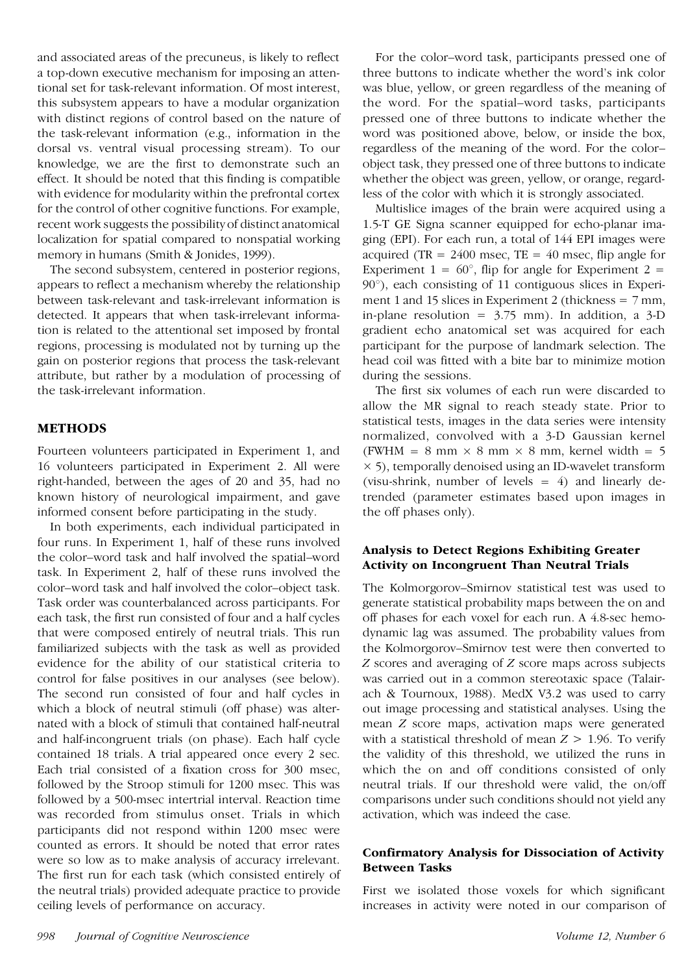and associated areas of the precuneus, is likely to reflect a top-down executive mechanism for imposing an attentional set for task-relevant information. Of most interest, this subsystem appears to have a modular organization with distinct regions of control based on the nature of the task-relevant information (e.g., information in the dorsal vs. ventral visual processing stream). To our knowledge, we are the first to demonstrate such an effect. It should be noted that this finding is compatible with evidence for modularity within the prefrontal cortex for the control of other cognitive functions. For example, recent work suggests the possibility of distinct anatomical localization for spatial compared to nonspatial working memory in humans (Smith & Jonides, 1999).

The second subsystem, centered in posterior regions, appears to reflect a mechanism whereby the relationship between task-relevant and task-irrelevant information is detected. It appears that when task-irrelevant information is related to the attentional set imposed by frontal regions, processing is modulated not by turning up the gain on posterior regions that process the task-relevant attribute, but rather by a modulation of processing of the task-irrelevant information.

# **METHODS**

Fourteen volunteers participated in Experiment 1, and 16 volunteers participated in Experiment 2. All were right-handed, between the ages of 20 and 35, had no known history of neurological impairment, and gave informed consent before participating in the study.

In both experiments, each individual participated in four runs. In Experiment 1, half of these runs involved the color–word task and half involved the spatial–word task. In Experiment 2, half of these runs involved the color–word task and half involved the color–object task. Task order was counterbalanced across participants. For each task, the first run consisted of four and a half cycles that were composed entirely of neutral trials. This run familiarized subjects with the task as well as provided evidence for the ability of our statistical criteria to control for false positives in our analyses (see below). The second run consisted of four and half cycles in which a block of neutral stimuli (off phase) was alternated with a block of stimuli that contained half-neutral and half-incongruent trials (on phase). Each half cycle contained 18 trials. A trial appeared once every 2 sec. Each trial consisted of a fixation cross for 300 msec, followed by the Stroop stimuli for 1200 msec. This was followed by a 500-msec intertrial interval. Reaction time was recorded from stimulus onset. Trials in which participants did not respond within 1200 msec were counted as errors. It should be noted that error rates were so low as to make analysis of accuracy irrelevant. The first run for each task (which consisted entirely of the neutral trials) provided adequate practice to provide ceiling levels of performance on accuracy.

For the color–word task, participants pressed one of three buttons to indicate whether the word's ink color was blue, yellow, or green regardless of the meaning of the word. For the spatial–word tasks, participants pressed one of three buttons to indicate whether the word was positioned above, below, or inside the box, regardless of the meaning of the word. For the color– object task, they pressed one of three buttons to indicate whether the object was green, yellow, or orange, regardless of the color with which it is strongly associated.

Multislice images of the brain were acquired using a 1.5-T GE Signa scanner equipped for echo-planar imaging (EPI). For each run, a total of 144 EPI images were acquired (TR =  $2400$  msec, TE =  $40$  msec, flip angle for Experiment  $1 = 60^{\circ}$ , flip for angle for Experiment  $2 =$  $90^\circ$ ), each consisting of 11 contiguous slices in Experiment 1 and 15 slices in Experiment 2 (thickness  $= 7$  mm, in-plane resolution =  $3.75$  mm). In addition, a  $3-D$ gradient echo anatomical set was acquired for each participant for the purpose of landmark selection. The head coil was fitted with a bite bar to minimize motion during the sessions.

The first six volumes of each run were discarded to allow the MR signal to reach steady state. Prior to statistical tests, images in the data series were intensity normalized, convolved with a 3-D Gaussian kernel (FWHM = 8 mm  $\times$  8 mm  $\times$  8 mm, kernel width = 5  $\times$  5), temporally denoised using an ID-wavelet transform (visu-shrink, number of levels  $= 4$ ) and linearly detrended (parameter estimates based upon images in the off phases only).

# **Analysis to Detect Regions Exhibiting Greater Activity on Incongruent Than Neutral Trials**

The Kolmorgorov–Smirnov statistical test was used to generate statistical probability maps between the on and off phases for each voxel for each run. A 4.8-sec hemodynamic lag was assumed. The probability values from the Kolmorgorov–Smirnov test were then converted to *Z* scores and averaging of *Z* score maps across subjects was carried out in a common stereotaxic space (Talairach & Tournoux, 1988). MedX V3.2 was used to carry out image processing and statistical analyses. Using the mean *Z* score maps, activation maps were generated with a statistical threshold of mean  $Z > 1.96$ . To verify the validity of this threshold, we utilized the runs in which the on and off conditions consisted of only neutral trials. If our threshold were valid, the on/off comparisons under such conditions should not yield any activation, which was indeed the case.

## **Confirmatory Analysis for Dissociation of Activity Between Tasks**

First we isolated those voxels for which significant increases in activity were noted in our comparison of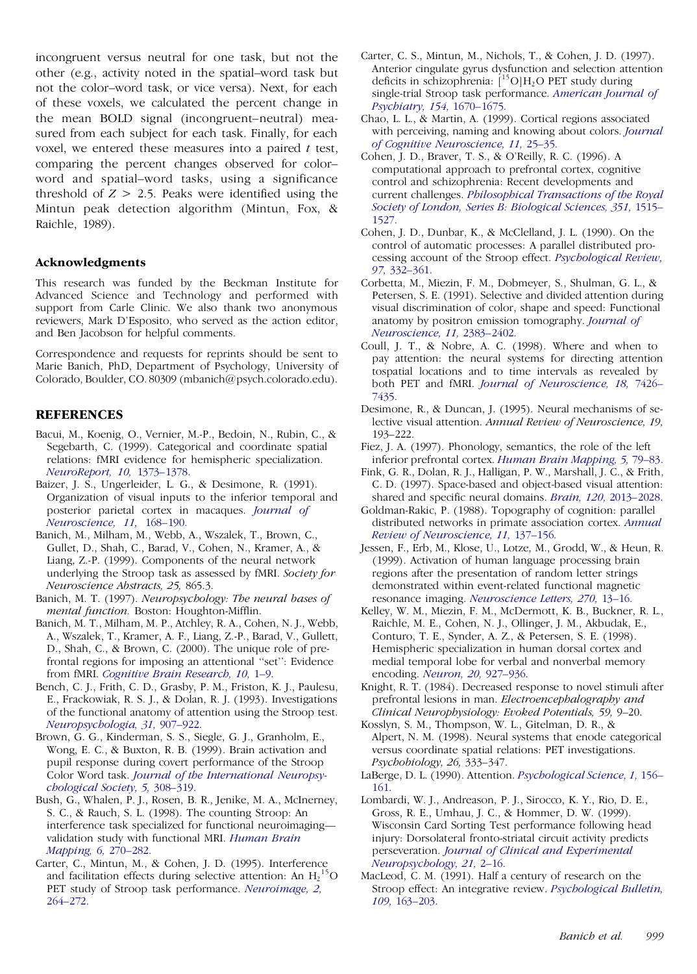incongruent versus neutral for one task, but not the other (e.g., activity noted in the spatial–word task but not the color–word task, or vice versa). Next, for each of these voxels, we calculated the percent change in the mean BOLD signal (incongruent–neutral) measured from each subject for each task. Finally, for each voxel, we entered these measures into a paired *t* test, comparing the percent changes observed for color– word and spatial–word tasks, using a significance threshold of  $Z > 2.5$ . Peaks were identified using the Mintun peak detection algorithm (Mintun, Fox, & Raichle, 1989).

#### **Acknowledgments**

This research was funded by the Beckman Institute for Advanced Science and Technology and performed with support from Carle Clinic. We also thank two anonymous reviewers, Mark D'Esposito, who served as the action editor, and Ben Jacobson for helpful comments.

Correspondence and requests for reprints should be sent to Marie Banich, PhD, Department of Psychology, University of Colorado, Boulder, CO. 80309 (mbanich@psych.colorado.edu).

#### **REFERENCES**

- Bacui, M., Koenig, O., Vernier, M.-P., Bedoin, N., Rubin, C., & Segebarth, C. (1999). Categorical and coordinate spatial relations: fMRI evidence for hemispheric specialization. *[NeuroReport,](http://www.ingentaselect.com/rpsv/cgi-bin/linker?ext=a&reqidx=/0959-4965^28^2910L.1373[aid=297636,nlm=10363956]) 10,* 1373–1378.
- Baizer, J. S., Ungerleider, L. G., & Desimone, R. (1991). Organization of visual inputs to the inferior temporal and posterior parietal cortex in macaques. *[Journal](http://www.ingentaselect.com/rpsv/cgi-bin/linker?ext=a&reqidx=/0270-6474^28^2911L.168[aid=212576,nlm=1702462]) of [Neuroscience,](http://www.ingentaselect.com/rpsv/cgi-bin/linker?ext=a&reqidx=/0270-6474^28^2911L.168[aid=212576,nlm=1702462]) 11,* 168–190.
- Banich, M., Milham, M., Webb, A., Wszalek, T., Brown, C., Gullet, D., Shah, C., Barad, V., Cohen, N., Kramer, A., & Liang, Z.-P. (1999). Components of the neural network underlying the Stroop task as assessed by fMRI. *Society for Neuroscience Abstracts, 25,* 865.3.
- Banich, M. T. (1997). *Neuropsychology: The neural bases of mental function.* Boston: Houghton-Mifflin.
- Banich, M. T., Milham, M. P., Atchley, R. A., Cohen, N. J., Webb, A., Wszalek, T., Kramer, A. F., Liang, Z.-P., Barad, V., Gullett, D., Shah, C., & Brown, C. (2000). The unique role of prefrontal regions for imposing an attentional ''set'': Evidence from fMRI. *Cognitive Brain [Research,](http://www.ingentaselect.com/rpsv/cgi-bin/linker?ext=a&reqidx=/0926-6410^28^2910L.1[aid=872269,nlm=10978687]) 10,* 1–9.
- Bench, C. J., Frith, C. D., Grasby, P. M., Friston, K. J., Paulesu, E., Frackowiak, R. S. J., & Dolan, R. J. (1993). Investigations of the functional anatomy of attention using the Stroop test. *[Neuropsychologia,](http://www.ingentaselect.com/rpsv/cgi-bin/linker?ext=a&reqidx=/0028-3932^28^2931L.907[aid=212186,csa=0028-3932^26vol=31^26iss=9^26firstpage=907,nlm=8232848]) 31,* 907–922.
- Brown, G. G., Kinderman, S. S., Siegle, G. J., Granholm, E., Wong, E. C., & Buxton, R. B. (1999). Brain activation and pupil response during covert performance of the Stroop Color Word task. *Journal of the [International](http://www.ingentaselect.com/rpsv/cgi-bin/linker?ext=a&reqidx=/1355-6177^28^295L.308[aid=872270,nlm=10349294]) Neuropsy[chological](http://www.ingentaselect.com/rpsv/cgi-bin/linker?ext=a&reqidx=/1355-6177^28^295L.308[aid=872270,nlm=10349294]) Society, 5,* 308–319.
- Bush, G., Whalen, P. J., Rosen, B. R., Jenike, M. A., McInerney, S. C., & Rauch, S. L. (1998). The counting Stroop: An interference task specialized for functional neuroimaging validation study with functional MRI. *[Human](http://www.ingentaselect.com/rpsv/cgi-bin/linker?ext=a&reqidx=/1065-9471^28^296L.270[aid=872271,nlm=9704265]) Brain [Mapping,](http://www.ingentaselect.com/rpsv/cgi-bin/linker?ext=a&reqidx=/1065-9471^28^296L.270[aid=872271,nlm=9704265]) 6,* 270–282.
- Carter, C., Mintun, M., & Cohen, J. D. (1995). Interference and facilitation effects during selective attention: An  $H_2^{15}O$  M PET study of Stroop task performance. *[Neuroimage,](http://www.ingentaselect.com/rpsv/cgi-bin/linker?ext=a&reqidx=/1053-8119^28^292L.264[aid=212277,csa=1053-8119^26vol=2^26iss=4^26firstpage=264,nlm=9343611]) 2,* [264–272.](http://www.ingentaselect.com/rpsv/cgi-bin/linker?ext=a&reqidx=/1053-8119^28^292L.264[aid=212277,csa=1053-8119^26vol=2^26iss=4^26firstpage=264,nlm=9343611])
- Carter, C. S., Mintun, M., Nichols, T., & Cohen, J. D. (1997). Anterior cingulate gyrus dysfunction and selection attention deficits in schizophrenia:  $[^{15}O]H_2O$  PET study during single-trial Stroop task performance. *[American](http://www.ingentaselect.com/rpsv/cgi-bin/linker?ext=a&reqidx=/0002-953X^28^29154L.1670[aid=872272,csa=0002-953X^26vol=154^26iss=12^26firstpage=1670]) Journal of [Psychiatry,](http://www.ingentaselect.com/rpsv/cgi-bin/linker?ext=a&reqidx=/0002-953X^28^29154L.1670[aid=872272,csa=0002-953X^26vol=154^26iss=12^26firstpage=1670]) 154,* 1670–1675.
- Chao, L. L., & Martin, A. (1999). Cortical regions associated with perceiving, naming and knowing about colors. *[Journal](http://www.ingentaselect.com/rpsv/cgi-bin/linker?ext=a&reqidx=/0898-929X^28^2911L.25[aid=872273,csa=0898-929X^26vol=11^26iss=1^26firstpage=25,cw=1]) of Cognitive [Neuroscience,](http://www.ingentaselect.com/rpsv/cgi-bin/linker?ext=a&reqidx=/0898-929X^28^2911L.25[aid=872273,csa=0898-929X^26vol=11^26iss=1^26firstpage=25,cw=1]) 11,* 25–35.
- Cohen, J. D., Braver, T. S., & O'Reilly, R. C. (1996). A computational approach to prefrontal cortex, cognitive control and schizophrenia: Recent developments and current challenges. *[Philosophical](http://www.ingentaselect.com/rpsv/cgi-bin/linker?ext=a&reqidx=/0962-8436^28^29351L.1515[aid=847849,csa=0962-8436^26vol=351^26iss=1346^26firstpage=1515,nlm=8941963]) Transactions of the Royal Society of London, Series B: [Biological](http://www.ingentaselect.com/rpsv/cgi-bin/linker?ext=a&reqidx=/0962-8436^28^29351L.1515[aid=847849,csa=0962-8436^26vol=351^26iss=1346^26firstpage=1515,nlm=8941963]) Sciences, 351,* 1515– 1527.
- Cohen, J. D., Dunbar, K., & McClelland, J. L. (1990). On the control of automatic processes: A parallel distributed processing account of the Stroop effect. *[Psychological](http://www.ingentaselect.com/rpsv/cgi-bin/linker?ext=a&reqidx=/0033-295X^28^2997L.332[aid=294036,csa=0033-295X^26vol=97^26iss=3^26firstpage=332,erg=121866]) Review, 97,* [332–361.](http://www.ingentaselect.com/rpsv/cgi-bin/linker?ext=a&reqidx=/0033-295X^28^2997L.332[aid=294036,csa=0033-295X^26vol=97^26iss=3^26firstpage=332,erg=121866])
- Corbetta, M., Miezin, F. M., Dobmeyer, S., Shulman, G. L., & Petersen, S. E. (1991). Selective and divided attention during visual discrimination of color, shape and speed: Functional anatomy by positron emission tomography. *[Journal](http://www.ingentaselect.com/rpsv/cgi-bin/linker?ext=a&reqidx=/0270-6474^28^2911L.2383[aid=211728,csa=0270-6474^26vol=11^26iss=8^26firstpage=2383,nlm=1869921]) of [Neuroscience,](http://www.ingentaselect.com/rpsv/cgi-bin/linker?ext=a&reqidx=/0270-6474^28^2911L.2383[aid=211728,csa=0270-6474^26vol=11^26iss=8^26firstpage=2383,nlm=1869921]) 11,* 2383–2402.
- Coull, J. T., & Nobre, A. C. (1998). Where and when to pay attention: the neural systems for directing attention tospatial locations and to time intervals as revealed by both PET and fMRI. *Journal of [Neuroscience,](http://www.ingentaselect.com/rpsv/cgi-bin/linker?ext=a&reqidx=/0270-6474^28^2918L.7426[aid=211310,csa=0270-6474^26vol=18^26iss=18^26firstpage=7426,nlm=9736662]) 18,* 7426– [7435.](http://www.ingentaselect.com/rpsv/cgi-bin/linker?ext=a&reqidx=/0270-6474^28^2918L.7426[aid=211310,csa=0270-6474^26vol=18^26iss=18^26firstpage=7426,nlm=9736662])
- Desimone, R., & Duncan, J. (1995). Neural mechanisms of selective visual attention. *Annual Review of Neuroscience, 19,* 193–222.
- Fiez, J. A. (1997). Phonology, semantics, the role of the left inferior prefrontal cortex. *Human Brain [Mapping,](http://www.ingentaselect.com/rpsv/cgi-bin/linker?ext=a&reqidx=/1065-9471^28^295L.79[aid=847520,nlm=10096412]) 5,* 79–83.
- Fink, G. R., Dolan, R. J., Halligan, P. W., Marshall, J. C., & Frith, C. D. (1997). Space-based and object-based visual attention: shared and specific neural domains. *Brain, 120,* [2013–2028.](http://www.ingentaselect.com/rpsv/cgi-bin/linker?ext=a&reqidx=/0006-8950^28^29120L.2013[aid=872206,nlm=9397018])
- Goldman-Rakic, P. (1988). Topography of cognition: parallel distributed networks in primate association cortex. *[Annual](http://www.ingentaselect.com/rpsv/cgi-bin/linker?ext=a&reqidx=/0147-006X^28^2911L.137[aid=295650,csa=0147-006X^26vol=11^26iss=^26firstpage=137]) Review of [Neuroscience,](http://www.ingentaselect.com/rpsv/cgi-bin/linker?ext=a&reqidx=/0147-006X^28^2911L.137[aid=295650,csa=0147-006X^26vol=11^26iss=^26firstpage=137]) 11,* 137–156.
- Jessen, F., Erb, M., Klose, U., Lotze, M., Grodd, W., & Heun, R. (1999). Activation of human language processing brain regions after the presentation of random letter strings demonstrated within event-related functional magnetic resonance imaging. *[Neuroscience](http://www.ingentaselect.com/rpsv/cgi-bin/linker?ext=a&reqidx=/0304-3940^28^29270L.13[aid=872275,nlm=10454134]) Letters, 270,* 13–16.
- Kelley, W. M., Miezin, F. M., McDermott, K. B., Buckner, R. L., Raichle, M. E., Cohen, N. J., Ollinger, J. M., Akbudak, E., Conturo, T. E., Synder, A. Z., & Petersen, S. E. (1998). Hemispheric specialization in human dorsal cortex and medial temporal lobe for verbal and nonverbal memory encoding. *Neuron, 20,* [927–936.](http://www.ingentaselect.com/rpsv/cgi-bin/linker?ext=a&reqidx=/0896-6273^28^2920L.927[aid=211577,nlm=9620697])
- Knight, R. T. (1984). Decreased response to novel stimuli after prefrontal lesions in man. *Electroencephalography and Clinical Neurophysiology: Evoked Potentials, 59,* 9–20.
- Kosslyn, S. M., Thompson, W. L., Gitelman, D. R., & Alpert, N. M. (1998). Neural systems that enode categorical versus coordinate spatial relations: PET investigations. *Psychobiology, 26,* 333–347.
- LaBerge, D. L. (1990). Attention. *[Psychological](http://www.ingentaselect.com/rpsv/cgi-bin/linker?ext=a&reqidx=/0956-7976^28^291L.156[aid=872277,erg=120383]) Science, 1,* 156– [161.](http://www.ingentaselect.com/rpsv/cgi-bin/linker?ext=a&reqidx=/0956-7976^28^291L.156[aid=872277,erg=120383])
- Lombardi, W. J., Andreason, P. J., Sirocco, K. Y., Rio, D. E., Gross, R. E., Umhau, J. C., & Hommer, D. W. (1999). Wisconsin Card Sorting Test performance following head injury: Dorsolateral fronto-striatal circuit activity predicts perseveration. *Journal of Clinical and [Experimental](http://www.ingentaselect.com/rpsv/cgi-bin/linker?ext=a&reqidx=/1380-3395^28^2921L.2[aid=872278,csa=1380-3395^26vol=21^26iss=1^26firstpage=2]) [Neuropsychology,](http://www.ingentaselect.com/rpsv/cgi-bin/linker?ext=a&reqidx=/1380-3395^28^2921L.2[aid=872278,csa=1380-3395^26vol=21^26iss=1^26firstpage=2]) 21,* 2–16.
- MacLeod, C. M. (1991). Half a century of research on the Stroop effect: An integrative review. *[Psychological](http://www.ingentaselect.com/rpsv/cgi-bin/linker?ext=a&reqidx=/0033-2909^28^29109L.163[aid=19374,csa=0033-2909^26vol=109^26iss=2^26firstpage=163,erg=125616,nlm=2034749]) Bulletin, 109,* [163–203.](http://www.ingentaselect.com/rpsv/cgi-bin/linker?ext=a&reqidx=/0033-2909^28^29109L.163[aid=19374,csa=0033-2909^26vol=109^26iss=2^26firstpage=163,erg=125616,nlm=2034749])